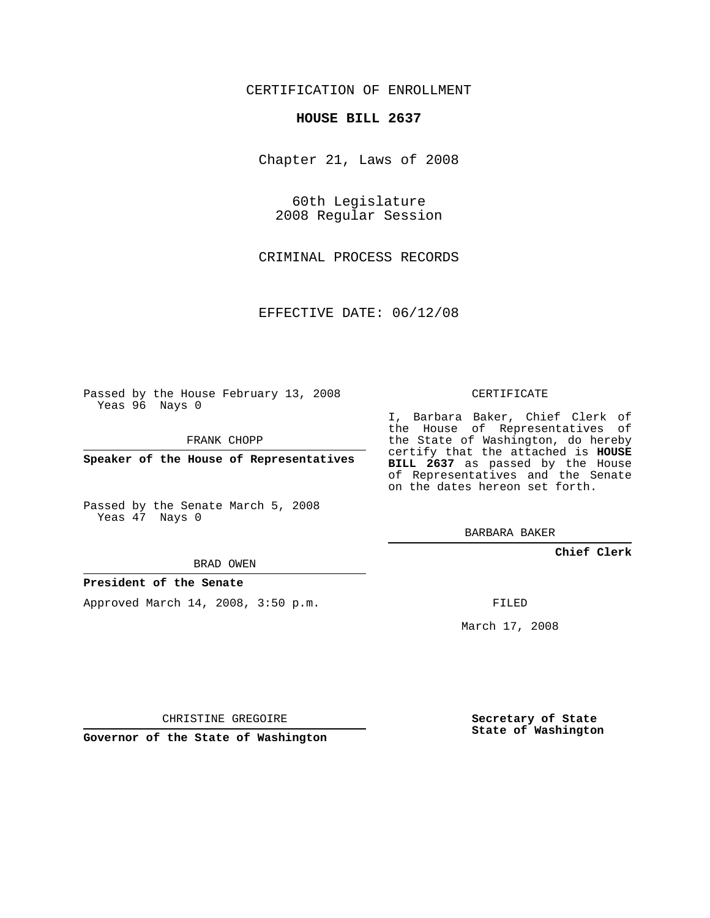## CERTIFICATION OF ENROLLMENT

#### **HOUSE BILL 2637**

Chapter 21, Laws of 2008

60th Legislature 2008 Regular Session

CRIMINAL PROCESS RECORDS

EFFECTIVE DATE: 06/12/08

Passed by the House February 13, 2008 Yeas 96 Nays 0

FRANK CHOPP

**Speaker of the House of Representatives**

Passed by the Senate March 5, 2008 Yeas 47 Nays 0

# BRAD OWEN

### **President of the Senate**

Approved March 14, 2008, 3:50 p.m.

CERTIFICATE

I, Barbara Baker, Chief Clerk of the House of Representatives of the State of Washington, do hereby certify that the attached is **HOUSE BILL 2637** as passed by the House of Representatives and the Senate on the dates hereon set forth.

BARBARA BAKER

**Chief Clerk**

FILED

March 17, 2008

**Secretary of State State of Washington**

CHRISTINE GREGOIRE

**Governor of the State of Washington**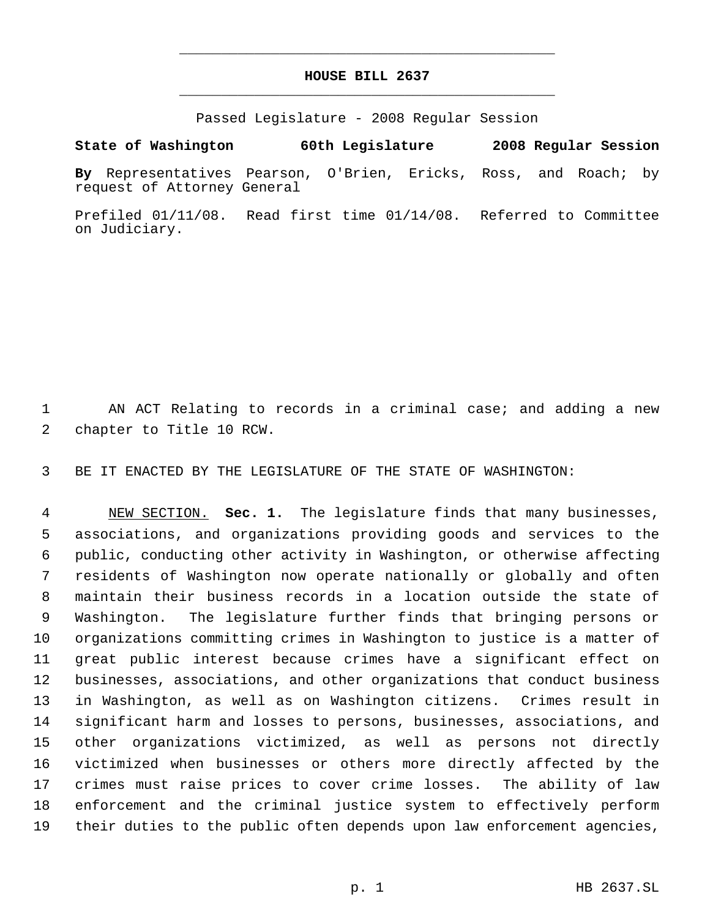## **HOUSE BILL 2637** \_\_\_\_\_\_\_\_\_\_\_\_\_\_\_\_\_\_\_\_\_\_\_\_\_\_\_\_\_\_\_\_\_\_\_\_\_\_\_\_\_\_\_\_\_

\_\_\_\_\_\_\_\_\_\_\_\_\_\_\_\_\_\_\_\_\_\_\_\_\_\_\_\_\_\_\_\_\_\_\_\_\_\_\_\_\_\_\_\_\_

Passed Legislature - 2008 Regular Session

**State of Washington 60th Legislature 2008 Regular Session By** Representatives Pearson, O'Brien, Ericks, Ross, and Roach; by request of Attorney General

Prefiled 01/11/08. Read first time 01/14/08. Referred to Committee on Judiciary.

1 AN ACT Relating to records in a criminal case; and adding a new chapter to Title 10 RCW.

BE IT ENACTED BY THE LEGISLATURE OF THE STATE OF WASHINGTON:

 NEW SECTION. **Sec. 1.** The legislature finds that many businesses, associations, and organizations providing goods and services to the public, conducting other activity in Washington, or otherwise affecting residents of Washington now operate nationally or globally and often maintain their business records in a location outside the state of Washington. The legislature further finds that bringing persons or organizations committing crimes in Washington to justice is a matter of great public interest because crimes have a significant effect on businesses, associations, and other organizations that conduct business in Washington, as well as on Washington citizens. Crimes result in significant harm and losses to persons, businesses, associations, and other organizations victimized, as well as persons not directly victimized when businesses or others more directly affected by the crimes must raise prices to cover crime losses. The ability of law enforcement and the criminal justice system to effectively perform their duties to the public often depends upon law enforcement agencies,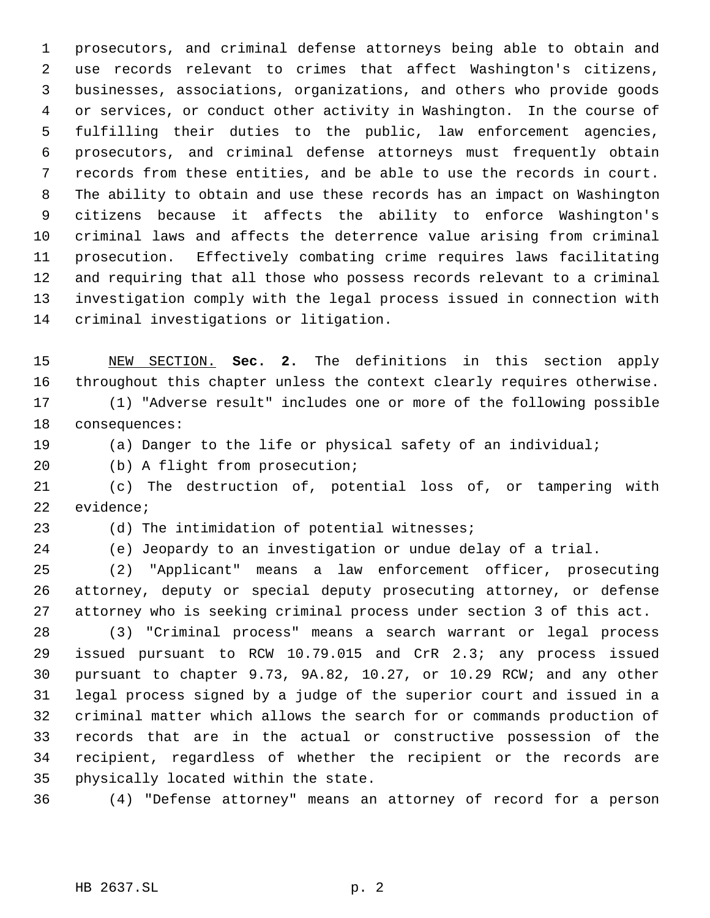prosecutors, and criminal defense attorneys being able to obtain and use records relevant to crimes that affect Washington's citizens, businesses, associations, organizations, and others who provide goods or services, or conduct other activity in Washington. In the course of fulfilling their duties to the public, law enforcement agencies, prosecutors, and criminal defense attorneys must frequently obtain records from these entities, and be able to use the records in court. The ability to obtain and use these records has an impact on Washington citizens because it affects the ability to enforce Washington's criminal laws and affects the deterrence value arising from criminal prosecution. Effectively combating crime requires laws facilitating and requiring that all those who possess records relevant to a criminal investigation comply with the legal process issued in connection with criminal investigations or litigation.

 NEW SECTION. **Sec. 2.** The definitions in this section apply throughout this chapter unless the context clearly requires otherwise.

 (1) "Adverse result" includes one or more of the following possible consequences:

(a) Danger to the life or physical safety of an individual;

(b) A flight from prosecution;

 (c) The destruction of, potential loss of, or tampering with evidence;

(d) The intimidation of potential witnesses;

(e) Jeopardy to an investigation or undue delay of a trial.

 (2) "Applicant" means a law enforcement officer, prosecuting attorney, deputy or special deputy prosecuting attorney, or defense attorney who is seeking criminal process under section 3 of this act.

 (3) "Criminal process" means a search warrant or legal process issued pursuant to RCW 10.79.015 and CrR 2.3; any process issued pursuant to chapter 9.73, 9A.82, 10.27, or 10.29 RCW; and any other legal process signed by a judge of the superior court and issued in a criminal matter which allows the search for or commands production of records that are in the actual or constructive possession of the recipient, regardless of whether the recipient or the records are physically located within the state.

(4) "Defense attorney" means an attorney of record for a person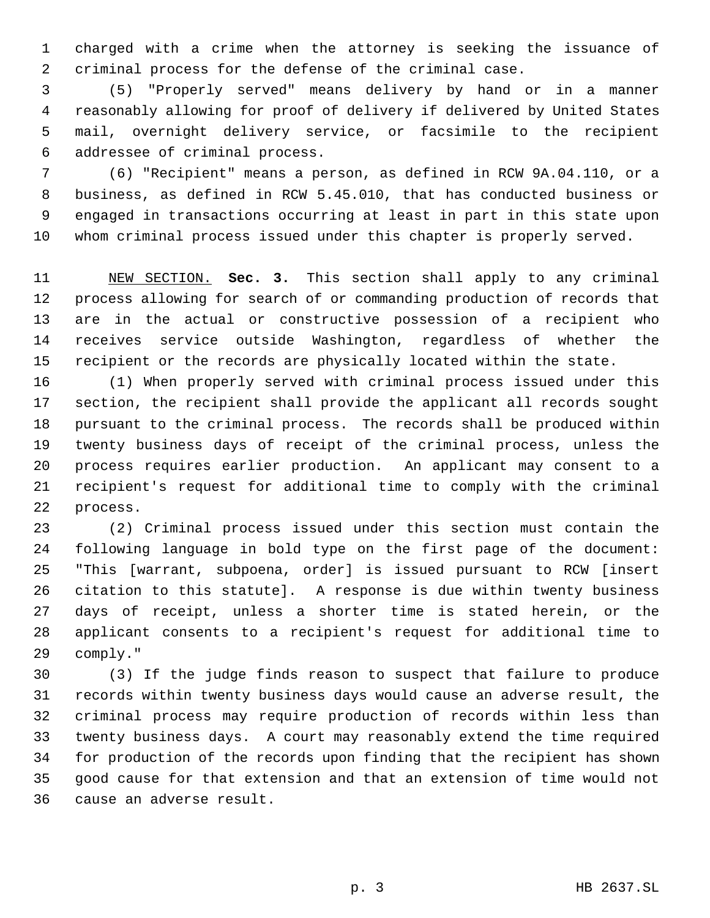charged with a crime when the attorney is seeking the issuance of criminal process for the defense of the criminal case.

 (5) "Properly served" means delivery by hand or in a manner reasonably allowing for proof of delivery if delivered by United States mail, overnight delivery service, or facsimile to the recipient addressee of criminal process.

 (6) "Recipient" means a person, as defined in RCW 9A.04.110, or a business, as defined in RCW 5.45.010, that has conducted business or engaged in transactions occurring at least in part in this state upon whom criminal process issued under this chapter is properly served.

 NEW SECTION. **Sec. 3.** This section shall apply to any criminal process allowing for search of or commanding production of records that are in the actual or constructive possession of a recipient who receives service outside Washington, regardless of whether the recipient or the records are physically located within the state.

 (1) When properly served with criminal process issued under this section, the recipient shall provide the applicant all records sought pursuant to the criminal process. The records shall be produced within twenty business days of receipt of the criminal process, unless the process requires earlier production. An applicant may consent to a recipient's request for additional time to comply with the criminal process.

 (2) Criminal process issued under this section must contain the following language in bold type on the first page of the document: "This [warrant, subpoena, order] is issued pursuant to RCW [insert citation to this statute]. A response is due within twenty business days of receipt, unless a shorter time is stated herein, or the applicant consents to a recipient's request for additional time to comply."

 (3) If the judge finds reason to suspect that failure to produce records within twenty business days would cause an adverse result, the criminal process may require production of records within less than twenty business days. A court may reasonably extend the time required for production of the records upon finding that the recipient has shown good cause for that extension and that an extension of time would not cause an adverse result.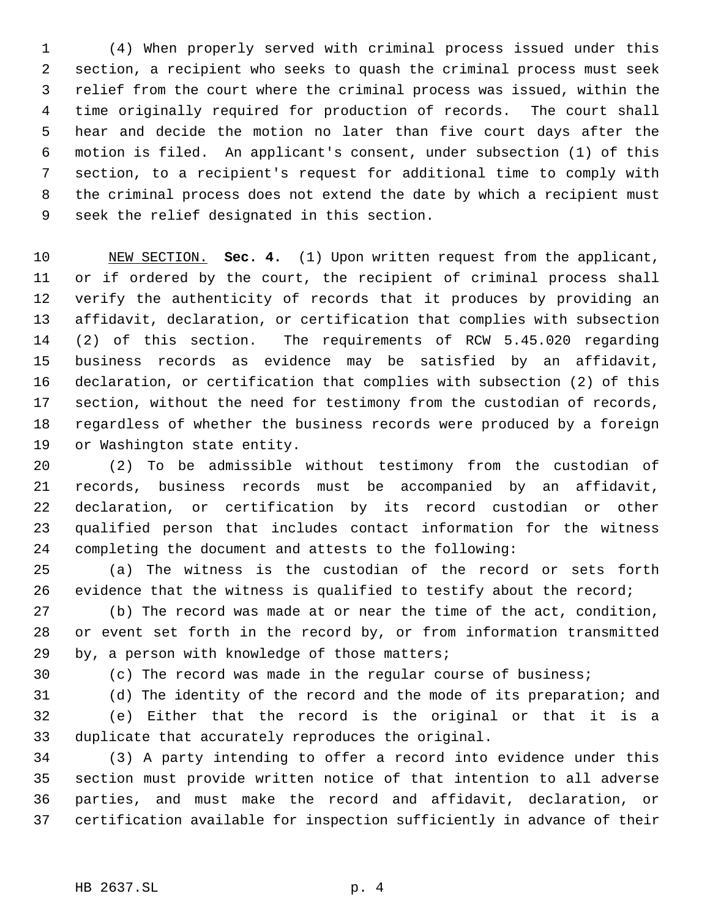(4) When properly served with criminal process issued under this section, a recipient who seeks to quash the criminal process must seek relief from the court where the criminal process was issued, within the time originally required for production of records. The court shall hear and decide the motion no later than five court days after the motion is filed. An applicant's consent, under subsection (1) of this section, to a recipient's request for additional time to comply with the criminal process does not extend the date by which a recipient must seek the relief designated in this section.

 NEW SECTION. **Sec. 4.** (1) Upon written request from the applicant, or if ordered by the court, the recipient of criminal process shall verify the authenticity of records that it produces by providing an affidavit, declaration, or certification that complies with subsection (2) of this section. The requirements of RCW 5.45.020 regarding business records as evidence may be satisfied by an affidavit, declaration, or certification that complies with subsection (2) of this section, without the need for testimony from the custodian of records, regardless of whether the business records were produced by a foreign or Washington state entity.

 (2) To be admissible without testimony from the custodian of records, business records must be accompanied by an affidavit, declaration, or certification by its record custodian or other qualified person that includes contact information for the witness completing the document and attests to the following:

 (a) The witness is the custodian of the record or sets forth 26 evidence that the witness is qualified to testify about the record;

 (b) The record was made at or near the time of the act, condition, or event set forth in the record by, or from information transmitted by, a person with knowledge of those matters;

(c) The record was made in the regular course of business;

 (d) The identity of the record and the mode of its preparation; and (e) Either that the record is the original or that it is a duplicate that accurately reproduces the original.

 (3) A party intending to offer a record into evidence under this section must provide written notice of that intention to all adverse parties, and must make the record and affidavit, declaration, or certification available for inspection sufficiently in advance of their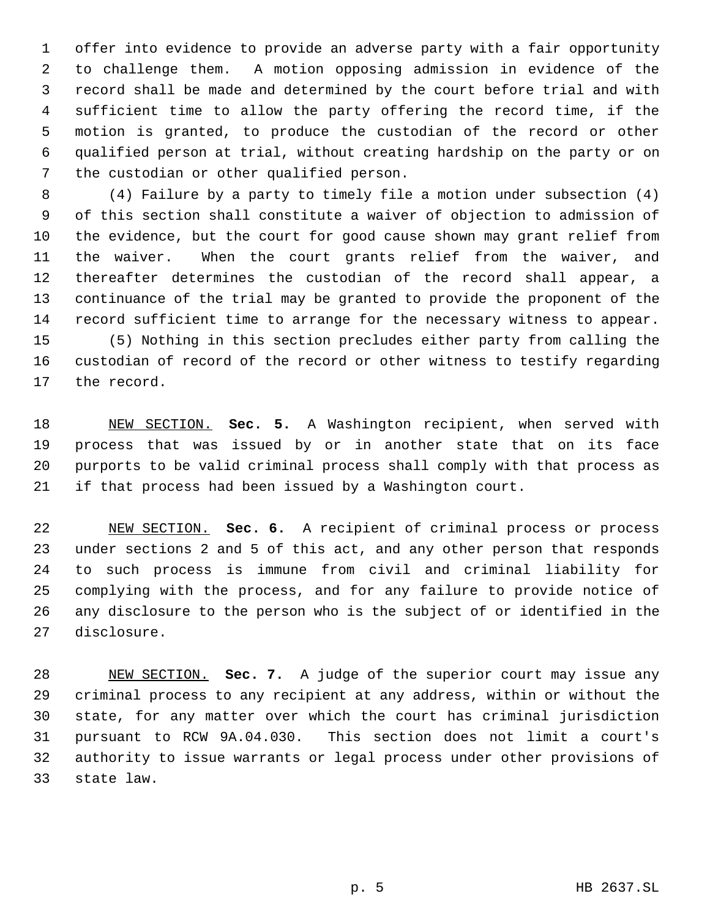offer into evidence to provide an adverse party with a fair opportunity to challenge them. A motion opposing admission in evidence of the record shall be made and determined by the court before trial and with sufficient time to allow the party offering the record time, if the motion is granted, to produce the custodian of the record or other qualified person at trial, without creating hardship on the party or on the custodian or other qualified person.

 (4) Failure by a party to timely file a motion under subsection (4) of this section shall constitute a waiver of objection to admission of the evidence, but the court for good cause shown may grant relief from the waiver. When the court grants relief from the waiver, and thereafter determines the custodian of the record shall appear, a continuance of the trial may be granted to provide the proponent of the record sufficient time to arrange for the necessary witness to appear. (5) Nothing in this section precludes either party from calling the custodian of record of the record or other witness to testify regarding the record.

 NEW SECTION. **Sec. 5.** A Washington recipient, when served with process that was issued by or in another state that on its face purports to be valid criminal process shall comply with that process as if that process had been issued by a Washington court.

 NEW SECTION. **Sec. 6.** A recipient of criminal process or process under sections 2 and 5 of this act, and any other person that responds to such process is immune from civil and criminal liability for complying with the process, and for any failure to provide notice of any disclosure to the person who is the subject of or identified in the disclosure.

 NEW SECTION. **Sec. 7.** A judge of the superior court may issue any criminal process to any recipient at any address, within or without the state, for any matter over which the court has criminal jurisdiction pursuant to RCW 9A.04.030. This section does not limit a court's authority to issue warrants or legal process under other provisions of state law.